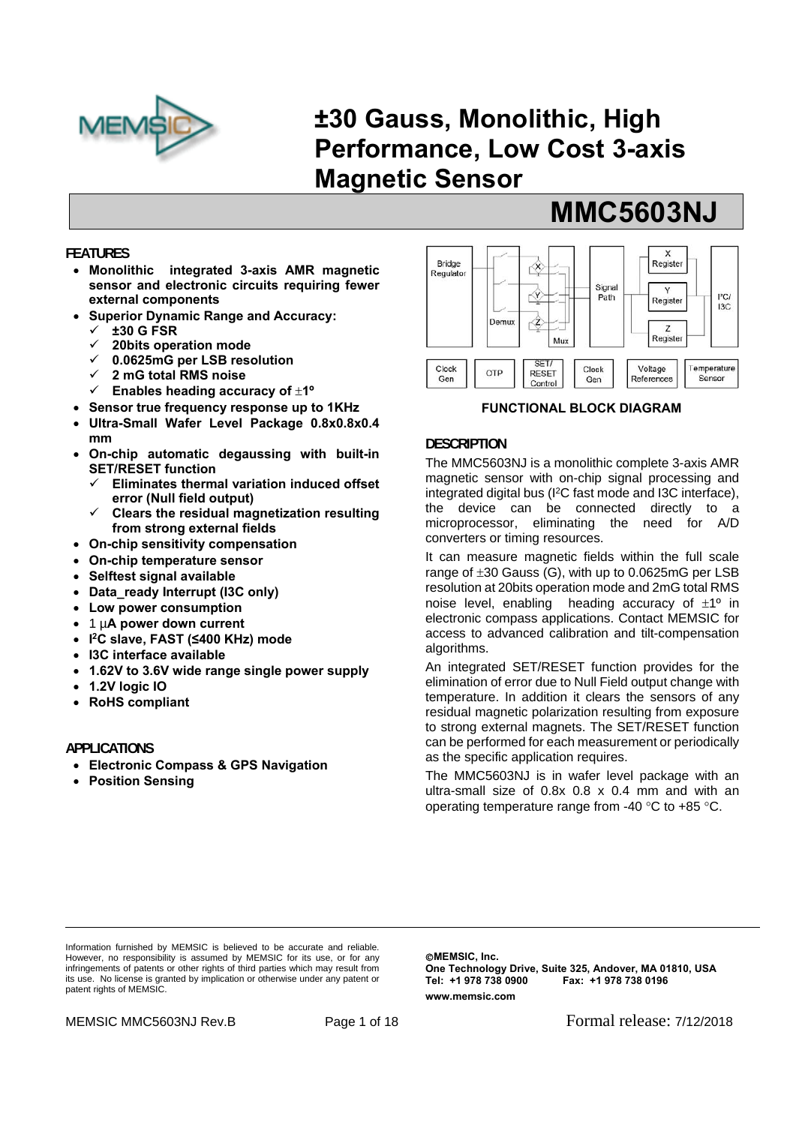

# **±30 Gauss, Monolithic, High Performance, Low Cost 3-axis Magnetic Sensor**

## **FEATURES**

- **Monolithic integrated 3-axis AMR magnetic sensor and electronic circuits requiring fewer external components**
- **Superior Dynamic Range and Accuracy:** 
	- **±30 G FSR**
	- **20bits operation mode**
	- **0.0625mG per LSB resolution**
	- **2 mG total RMS noise**
	- **Enables heading accuracy of 1º**
- **Sensor true frequency response up to 1KHz**
- **Ultra-Small Wafer Level Package 0.8x0.8x0.4 mm**
- **On-chip automatic degaussing with built-in SET/RESET function** 
	- **Eliminates thermal variation induced offset error (Null field output)**
	- **Clears the residual magnetization resulting from strong external fields**
- **On-chip sensitivity compensation**
- **On-chip temperature sensor**
- **Selftest signal available**
- **Data\_ready Interrupt (I3C only)**
- **Low power consumption**
- 1 µ**A power down current**
- **I 2C slave, FAST (≤400 KHz) mode**
- **I3C interface available**
- **1.62V to 3.6V wide range single power supply**
- **1.2V logic IO**
- **RoHS compliant**

#### **APPLICATIONS**

- **Electronic Compass & GPS Navigation**
- **Position Sensing**



 **MMC5603NJ** 

#### **FUNCTIONAL BLOCK DIAGRAM**

## **DESCRIPTION**

The MMC5603NJ is a monolithic complete 3-axis AMR magnetic sensor with on-chip signal processing and integrated digital bus (I2C fast mode and I3C interface), the device can be connected directly to a microprocessor, eliminating the need for A/D converters or timing resources.

It can measure magnetic fields within the full scale range of  $\pm 30$  Gauss (G), with up to 0.0625mG per LSB resolution at 20bits operation mode and 2mG total RMS noise level, enabling heading accuracy of  $\pm 1^{\circ}$  in electronic compass applications. Contact MEMSIC for access to advanced calibration and tilt-compensation algorithms.

An integrated SET/RESET function provides for the elimination of error due to Null Field output change with temperature. In addition it clears the sensors of any residual magnetic polarization resulting from exposure to strong external magnets. The SET/RESET function can be performed for each measurement or periodically as the specific application requires.

The MMC5603NJ is in wafer level package with an ultra-small size of 0.8x 0.8 x 0.4 mm and with an operating temperature range from -40  $\degree$ C to +85  $\degree$ C.

Information furnished by MEMSIC is believed to be accurate and reliable. However, no responsibility is assumed by MEMSIC for its use, or for any infringements of patents or other rights of third parties which may result from its use. No license is granted by implication or otherwise under any patent or patent rights of MEMSIC.

**CMEMSIC, Inc. One Technology Drive, Suite 325, Andover, MA 01810, USA Tel: +1 978 738 0900 Fax: +1 978 738 0196 www.memsic.com**

MEMSIC MMC5603NJ Rev.B Page 1 of 18 Formal release: 7/12/2018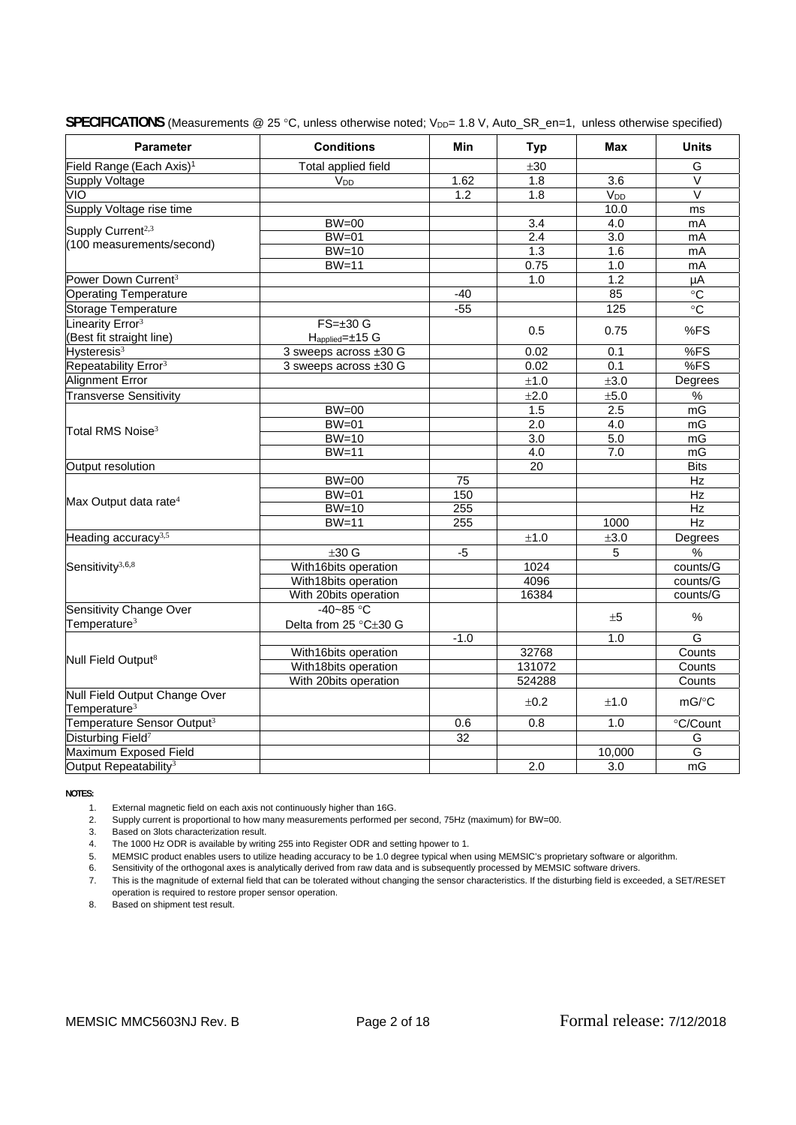| <b>Parameter</b>                       | <b>Conditions</b>     | Min             | <b>Typ</b>       | Max              | <b>Units</b>            |
|----------------------------------------|-----------------------|-----------------|------------------|------------------|-------------------------|
| Field Range (Each Axis) <sup>1</sup>   | Total applied field   |                 | ±30              |                  | G                       |
| <b>Supply Voltage</b>                  | <b>V<sub>DD</sub></b> | 1.62            | 1.8              | 3.6              | $\overline{\mathsf{V}}$ |
| ÓМ                                     |                       | 1.2             | 1.8              | V <sub>DD</sub>  | $\overline{\mathsf{V}}$ |
| Supply Voltage rise time               |                       |                 |                  | 10.0             | ms                      |
| Supply Current <sup>2,3</sup>          | $BW=00$               |                 | $\overline{3.4}$ | $\overline{4.0}$ | mA                      |
| (100 measurements/second)              | $BW=01$               |                 | 2.4              | 3.0              | mA                      |
|                                        | $BW=10$               |                 | 1.3              | 1.6              | mA                      |
|                                        | $BW=11$               |                 | 0.75             | 1.0              | mA                      |
| Power Down Current <sup>3</sup>        |                       |                 | 1.0              | 1.2              | μA                      |
| <b>Operating Temperature</b>           |                       | -40             |                  | 85               | $^\circ \text{C}$       |
| Storage Temperature                    |                       | $-55$           |                  | 125              | $\overline{C}$          |
| Linearity Error <sup>3</sup>           | $FS = \pm 30$ G       |                 | 0.5              | 0.75             | %FS                     |
| (Best fit straight line)               | Happlied=±15 G        |                 |                  |                  |                         |
| Hysteresis <sup>3</sup>                | 3 sweeps across ±30 G |                 | 0.02             | 0.1              | %FS                     |
| Repeatability Error <sup>3</sup>       | 3 sweeps across ±30 G |                 | 0.02             | 0.1              | %FS                     |
| Alignment Error                        |                       |                 | $\pm 1.0$        | ±3.0             | Degrees                 |
| <b>Transverse Sensitivity</b>          |                       |                 | ±2.0             | ±5.0             | %                       |
|                                        | $BW=00$               |                 | 1.5              | 2.5              | mG                      |
|                                        | $BW=01$               |                 | 2.0              | 4.0              | mG                      |
| Total RMS Noise $^3$                   | $BW=10$               |                 | $\overline{3.0}$ | 5.0              | mG                      |
|                                        | $BW=11$               |                 | 4.0              | 7.0              | mG                      |
| Output resolution                      |                       |                 | 20               |                  | <b>Bits</b>             |
|                                        | $BW=00$               | $\overline{75}$ |                  |                  | Hz                      |
| Max Output data rate <sup>4</sup>      | $BW=01$               | 150             |                  |                  | Hz                      |
|                                        | $BW=10$               | 255             |                  |                  | Hz                      |
|                                        | $BW=11$               | 255             |                  | 1000             | Hz                      |
| Heading accuracy <sup>3,5</sup>        |                       |                 | $\pm 1.0$        | ±3.0             | Degrees                 |
|                                        | $±30$ G               | -5              |                  | 5                | %                       |
| Sensitivity <sup>3,6,8</sup>           | With16bits operation  |                 | 1024             |                  | counts/G                |
|                                        | With18bits operation  |                 | 4096             |                  | counts/G                |
|                                        | With 20bits operation |                 | 16384            |                  | counts/G                |
| Sensitivity Change Over                | $-40-85$ °C           |                 |                  |                  | $\%$                    |
| Temperature <sup>3</sup>               | Delta from 25 °C±30 G |                 |                  | ±5               |                         |
|                                        |                       | $-1.0$          |                  | 1.0              | G                       |
|                                        | With16bits operation  |                 | 32768            |                  | Counts                  |
| Null Field Output <sup>8</sup>         | With18bits operation  |                 | 131072           |                  | Counts                  |
|                                        | With 20bits operation |                 | 524288           |                  | Counts                  |
| Null Field Output Change Over          |                       |                 | ±0.2             | ±1.0             | mG/°C                   |
| Temperature <sup>3</sup>               |                       |                 |                  |                  |                         |
| Temperature Sensor Output <sup>3</sup> |                       | 0.6             | 0.8              | 1.0              | °C/Count                |
| Disturbing Field <sup>7</sup>          |                       | $\overline{32}$ |                  |                  | G                       |
| Maximum Exposed Field                  |                       |                 |                  | 10,000           | G                       |
| Output Repeatability <sup>3</sup>      |                       |                 | 2.0              | 3.0              | mG                      |

SPECIFICATIONS (Measurements @ 25 °C, unless otherwise noted; V<sub>DD</sub>= 1.8 V, Auto\_SR\_en=1, unless otherwise specified)

**NOTES:**

1. External magnetic field on each axis not continuously higher than 16G.

2. Supply current is proportional to how many measurements performed per second, 75Hz (maximum) for BW=00.

3. Based on 3lots characterization result.

4. The 1000 Hz ODR is available by writing 255 into Register ODR and setting hpower to 1.

5. MEMSIC product enables users to utilize heading accuracy to be 1.0 degree typical when using MEMSIC's proprietary software or algorithm.

6. Sensitivity of the orthogonal axes is analytically derived from raw data and is subsequently processed by MEMSIC software drivers.

2. This is the magnitude of external field that can be tolerated without changing the sensor characteristics. If the disturbing field is exceeded, a SET/RESET operation is required to restore proper sensor operation.

8. Based on shipment test result.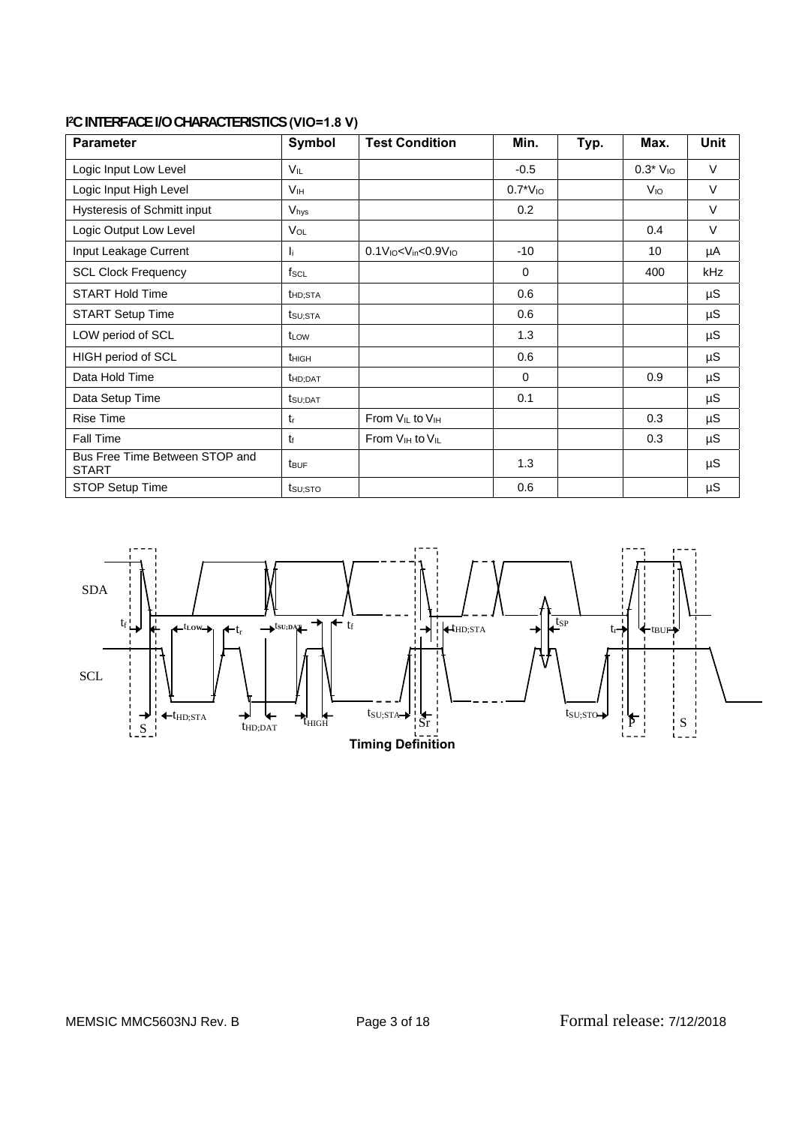| <b>Parameter</b>                               | Symbol               | <b>Test Condition</b>                   | Min.          | Typ. | Max.            | <b>Unit</b> |
|------------------------------------------------|----------------------|-----------------------------------------|---------------|------|-----------------|-------------|
| Logic Input Low Level                          | VIL                  |                                         | $-0.5$        |      | $0.3*$ $V_{10}$ | V           |
| Logic Input High Level                         | V <sub>IH</sub>      |                                         | $0.7^*V_{10}$ |      | V <sub>IO</sub> | $\vee$      |
| Hysteresis of Schmitt input                    | Vhys                 |                                         | 0.2           |      |                 | $\vee$      |
| Logic Output Low Level                         | V <sub>OL</sub>      |                                         |               |      | 0.4             | V           |
| Input Leakage Current                          | Ií.                  | $0.1V10< Vin< 0.9V10$                   | $-10$         |      | 10              | μA          |
| <b>SCL Clock Frequency</b>                     | $f_{SCL}$            |                                         | $\Omega$      |      | 400             | kHz         |
| <b>START Hold Time</b>                         | t <sub>HD</sub> ;STA |                                         | 0.6           |      |                 | $\mu S$     |
| <b>START Setup Time</b>                        | tsu;sta              |                                         | 0.6           |      |                 | $\mu$ S     |
| LOW period of SCL                              | t <sub>LOW</sub>     |                                         | 1.3           |      |                 | $\mu$ S     |
| HIGH period of SCL                             | thigh                |                                         | 0.6           |      |                 | μS          |
| Data Hold Time                                 | t <sub>HD:DAT</sub>  |                                         | $\Omega$      |      | 0.9             | μS          |
| Data Setup Time                                | t <sub>SU;DAT</sub>  |                                         | 0.1           |      |                 | $\mu$ S     |
| <b>Rise Time</b>                               | $t_{r}$              | From $V_{IL}$ to $V_{IH}$               |               |      | 0.3             | μS          |
| Fall Time                                      | tŧ                   | From V <sub>IH</sub> to V <sub>IL</sub> |               |      | 0.3             | μS          |
| Bus Free Time Between STOP and<br><b>START</b> | <b>t</b> BUF         |                                         | 1.3           |      |                 | $\mu$ S     |
| STOP Setup Time                                | $t$ su; sto          |                                         | 0.6           |      |                 | $\mu$ S     |

## **I 2C INTERFACE I/O CHARACTERISTICS (VIO=1.8 V)**

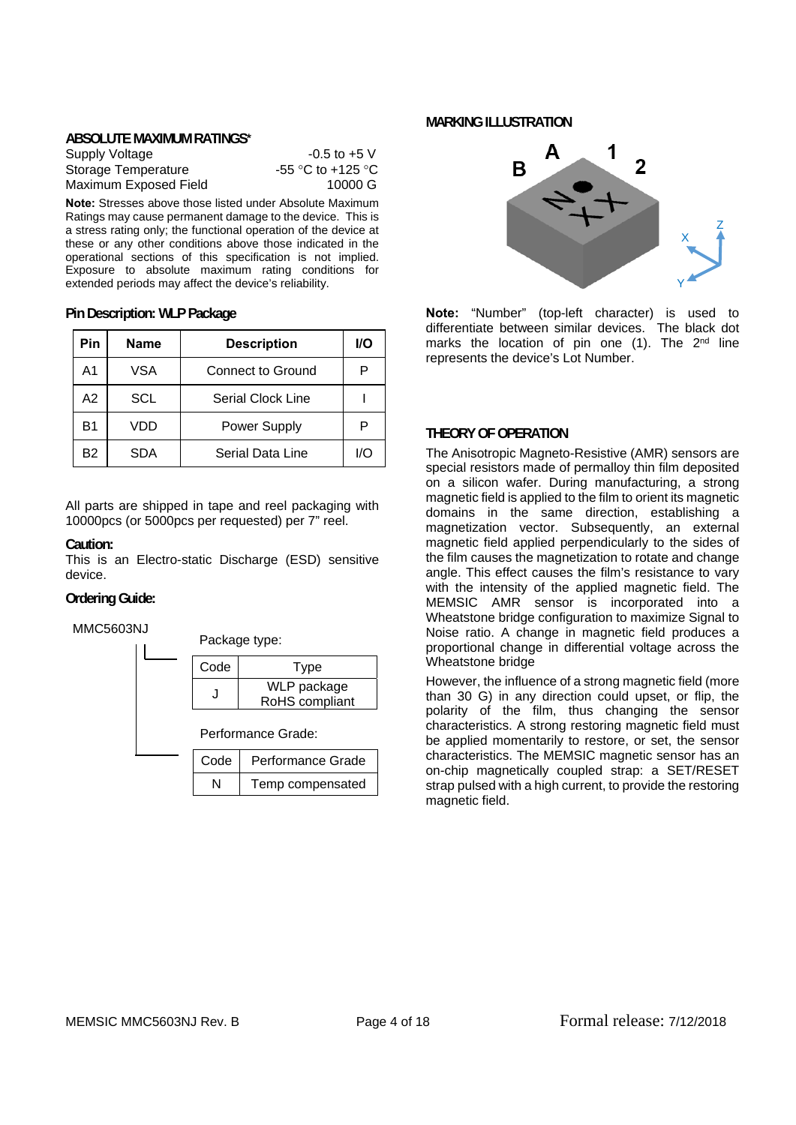#### **ABSOLUTE MAXIMUM RATINGS\***

| Supply Voltage        | $-0.5$ to $+5$ V  |
|-----------------------|-------------------|
| Storage Temperature   | -55 °C to +125 °C |
| Maximum Exposed Field | 10000 G           |

**Note:** Stresses above those listed under Absolute Maximum Ratings may cause permanent damage to the device. This is a stress rating only; the functional operation of the device at these or any other conditions above those indicated in the operational sections of this specification is not implied. Exposure to absolute maximum rating conditions for extended periods may affect the device's reliability.

**Pin Description: WLP Package**

| Pin | <b>Name</b> | <b>Description</b>  | 1/O |
|-----|-------------|---------------------|-----|
| A1  | VSA         | Connect to Ground   | P   |
| A2  | SCL         | Serial Clock Line   |     |
| B1  | VDD         | <b>Power Supply</b> |     |
| Β2  | <b>SDA</b>  | Serial Data Line    | I/C |

All parts are shipped in tape and reel packaging with 10000pcs (or 5000pcs per requested) per 7" reel.

#### **Caution:**

This is an Electro-static Discharge (ESD) sensitive device.

## **Ordering Guide:**

MMC5603NJ



#### **MARKING ILLUSTRATION**



**Note:** "Number" (top-left character) is used to differentiate between similar devices. The black dot marks the location of pin one (1). The 2<sup>nd</sup> line represents the device's Lot Number.

## **THEORY OF OPERATION**

The Anisotropic Magneto-Resistive (AMR) sensors are special resistors made of permalloy thin film deposited on a silicon wafer. During manufacturing, a strong magnetic field is applied to the film to orient its magnetic domains in the same direction, establishing a magnetization vector. Subsequently, an external magnetic field applied perpendicularly to the sides of the film causes the magnetization to rotate and change angle. This effect causes the film's resistance to vary with the intensity of the applied magnetic field. The MEMSIC AMR sensor is incorporated into a Wheatstone bridge configuration to maximize Signal to Noise ratio. A change in magnetic field produces a proportional change in differential voltage across the Wheatstone bridge

However, the influence of a strong magnetic field (more than 30 G) in any direction could upset, or flip, the polarity of the film, thus changing the sensor characteristics. A strong restoring magnetic field must be applied momentarily to restore, or set, the sensor characteristics. The MEMSIC magnetic sensor has an on-chip magnetically coupled strap: a SET/RESET strap pulsed with a high current, to provide the restoring magnetic field.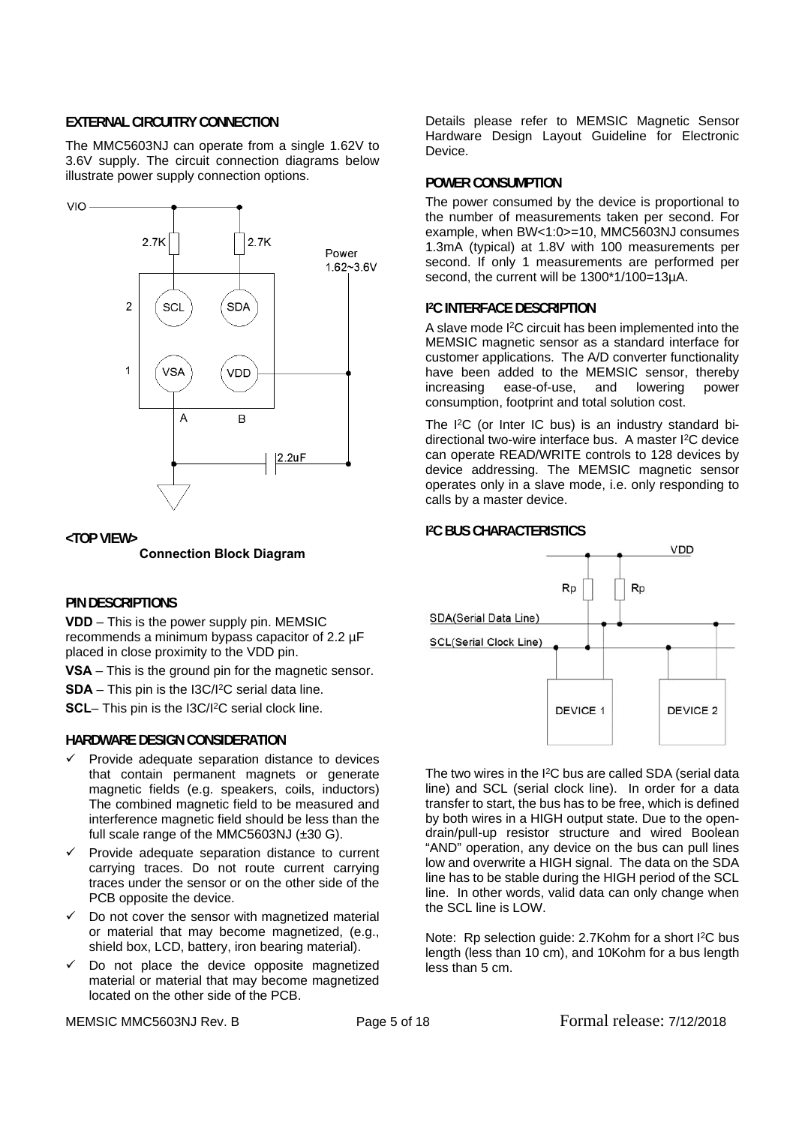## **EXTERNAL CIRCUITRY CONNECTION**

The MMC5603NJ can operate from a single 1.62V to 3.6V supply. The circuit connection diagrams below illustrate power supply connection options.



#### **<TOP VIEW>**

#### **Connection Block Diagram**

#### **PIN DESCRIPTIONS**

**VDD** – This is the power supply pin. MEMSIC recommends a minimum bypass capacitor of 2.2 µF placed in close proximity to the VDD pin.

**VSA** – This is the ground pin for the magnetic sensor.

**SDA** – This pin is the I3C/I2C serial data line.

**SCL**– This pin is the I3C/I<sup>2</sup>C serial clock line.

## **HARDWARE DESIGN CONSIDERATION**

- $\checkmark$  Provide adequate separation distance to devices that contain permanent magnets or generate magnetic fields (e.g. speakers, coils, inductors) The combined magnetic field to be measured and interference magnetic field should be less than the full scale range of the MMC5603NJ (±30 G).
- Provide adequate separation distance to current carrying traces. Do not route current carrying traces under the sensor or on the other side of the PCB opposite the device.
- $\checkmark$  Do not cover the sensor with magnetized material or material that may become magnetized, (e.g., shield box, LCD, battery, iron bearing material).
- $\checkmark$  Do not place the device opposite magnetized material or material that may become magnetized located on the other side of the PCB.

MEMSIC MMC5603NJ Rev. B **Page 5 of 18** Formal release: 7/12/2018

Details please refer to MEMSIC Magnetic Sensor Hardware Design Layout Guideline for Electronic Device.

## **POWER CONSUMPTION**

The power consumed by the device is proportional to the number of measurements taken per second. For example, when BW<1:0>=10, MMC5603NJ consumes 1.3mA (typical) at 1.8V with 100 measurements per second. If only 1 measurements are performed per second, the current will be 1300\*1/100=13µA.

## **I 2C INTERFACE DESCRIPTION**

A slave mode I2C circuit has been implemented into the MEMSIC magnetic sensor as a standard interface for customer applications. The A/D converter functionality have been added to the MEMSIC sensor, thereby increasing ease-of-use, and lowering power consumption, footprint and total solution cost.

The I<sup>2</sup>C (or Inter IC bus) is an industry standard bidirectional two-wire interface bus. A master I2C device can operate READ/WRITE controls to 128 devices by device addressing. The MEMSIC magnetic sensor operates only in a slave mode, i.e. only responding to calls by a master device.

## **I 2C BUS CHARACTERISTICS**



The two wires in the I<sup>2</sup>C bus are called SDA (serial data) line) and SCL (serial clock line). In order for a data transfer to start, the bus has to be free, which is defined by both wires in a HIGH output state. Due to the opendrain/pull-up resistor structure and wired Boolean "AND" operation, any device on the bus can pull lines low and overwrite a HIGH signal. The data on the SDA line has to be stable during the HIGH period of the SCL line. In other words, valid data can only change when the SCL line is LOW.

Note: Rp selection guide: 2.7Kohm for a short I<sup>2</sup>C bus length (less than 10 cm), and 10Kohm for a bus length less than 5 cm.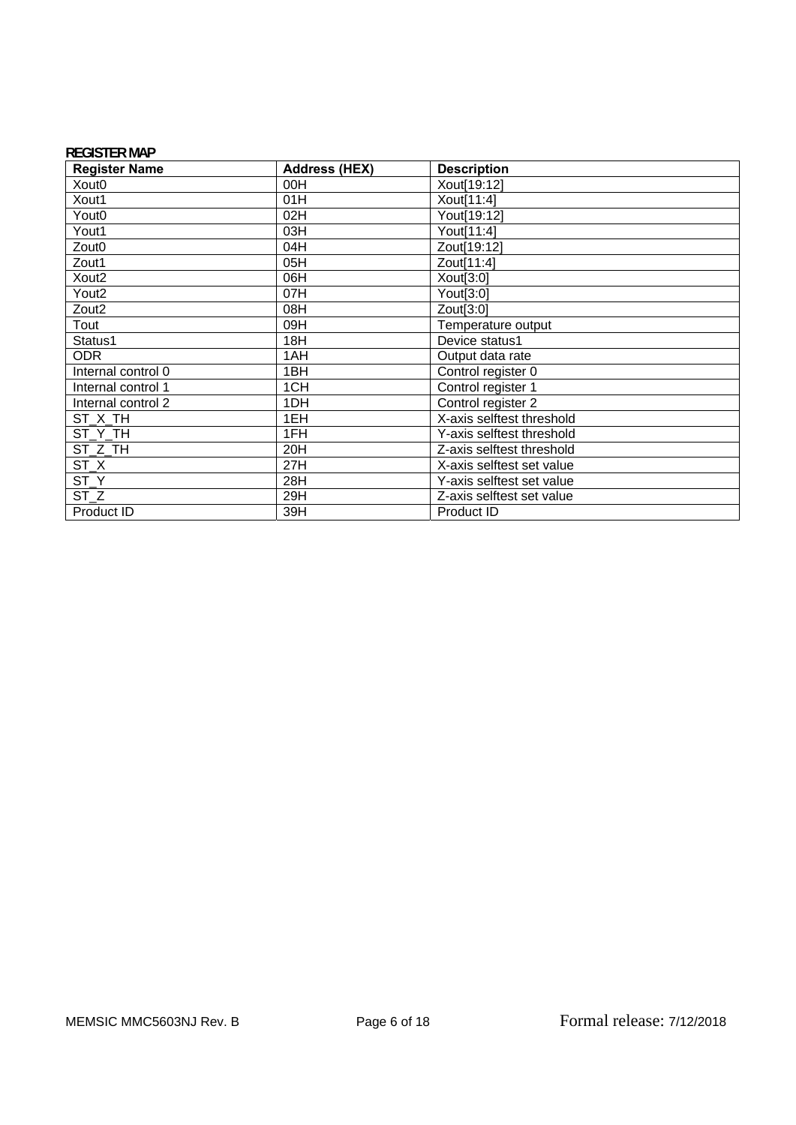## **REGISTER MAP**

| <b>Register Name</b> | <b>Address (HEX)</b> | <b>Description</b>        |
|----------------------|----------------------|---------------------------|
| Xout <sub>0</sub>    | 00H                  | Xout[19:12]               |
| Xout1                | 01H                  | Xout[11:4]                |
| Yout <sub>0</sub>    | 02H                  | Yout[19:12]               |
| Yout1                | 03H                  | Yout[11:4]                |
| Zout <sub>0</sub>    | 04H                  | Zout[19:12]               |
| Zout1                | 05H                  | Zout[11:4]                |
| Xout <sub>2</sub>    | 06H                  | Xout[3:0]                 |
| Yout <sub>2</sub>    | 07H                  | Yout[3:0]                 |
| Zout <sub>2</sub>    | 08H                  | Zout[3:0]                 |
| Tout                 | 09H                  | Temperature output        |
| Status1              | 18H                  | Device status1            |
| <b>ODR</b>           | 1AH                  | Output data rate          |
| Internal control 0   | 1BH                  | Control register 0        |
| Internal control 1   | 1CH                  | Control register 1        |
| Internal control 2   | 1DH                  | Control register 2        |
| ST X TH              | 1EH                  | X-axis selftest threshold |
| ST_Y_TH              | 1FH                  | Y-axis selftest threshold |
| ST Z TH              | 20H                  | Z-axis selftest threshold |
| ST_X                 | 27H                  | X-axis selftest set value |
| ST_Y                 | 28H                  | Y-axis selftest set value |
| ST <sub>Z</sub>      | 29H                  | Z-axis selftest set value |
| Product ID           | 39H                  | Product ID                |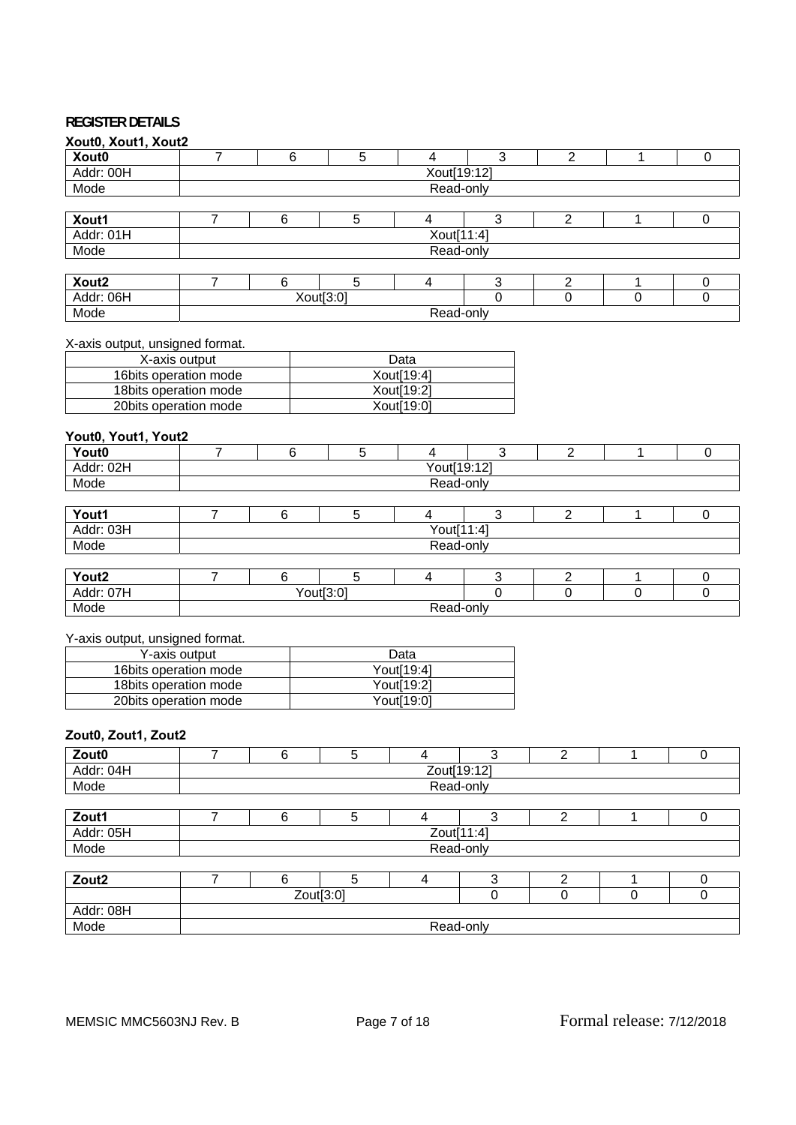## **REGISTER DETAILS**

| Xout0, Xout1, Xout2             |                |         |                |                         |                |                |                |                |  |  |
|---------------------------------|----------------|---------|----------------|-------------------------|----------------|----------------|----------------|----------------|--|--|
| Xout0                           | 7              | 6       | 5              | $\overline{4}$          | 3              | $\overline{2}$ | 1              | $\Omega$       |  |  |
| Addr: 00H                       | Xout[19:12]    |         |                |                         |                |                |                |                |  |  |
| Mode                            |                |         |                | Read-only               |                |                |                |                |  |  |
|                                 |                |         |                |                         |                |                |                |                |  |  |
| Xout1                           | $\overline{7}$ | $\,6\,$ | $\overline{5}$ | $\overline{4}$          | $\overline{3}$ | $\overline{2}$ | 1              | $\pmb{0}$      |  |  |
| Addr: 01H                       |                |         |                | Xout[11:4]              |                |                |                |                |  |  |
| Mode                            |                |         |                | Read-only               |                |                |                |                |  |  |
|                                 | $\overline{7}$ |         | $\overline{5}$ |                         |                |                |                |                |  |  |
| Xout <sub>2</sub>               |                | 6       |                | $\overline{4}$          | $\mathbf{3}$   | $\overline{2}$ | 1              | $\mathbf 0$    |  |  |
| Addr: 06H                       |                |         | Xout[3:0]      |                         | $\Omega$       | $\overline{0}$ | $\overline{0}$ | $\overline{0}$ |  |  |
| Mode                            |                |         |                | Read-only               |                |                |                |                |  |  |
| X-axis output, unsigned format. |                |         |                |                         |                |                |                |                |  |  |
| X-axis output                   |                |         |                | Data                    |                |                |                |                |  |  |
| 16bits operation mode           |                |         |                | Xout[19:4]              |                |                |                |                |  |  |
| 18bits operation mode           |                |         |                | Xout[19:2]              |                |                |                |                |  |  |
| 20bits operation mode           |                |         |                | Xout[19:0]              |                |                |                |                |  |  |
|                                 |                |         |                |                         |                |                |                |                |  |  |
| Yout0, Yout1, Yout2             |                |         |                |                         |                |                |                |                |  |  |
| Yout0                           | $\overline{7}$ | 6       | 5              | $\overline{4}$          | 3              | $\overline{2}$ | $\mathbf{1}$   | $\mathbf 0$    |  |  |
| Addr: 02H                       |                |         |                | Yout[19:12]             |                |                |                |                |  |  |
| Mode                            |                |         |                | Read-only               |                |                |                |                |  |  |
|                                 |                |         |                |                         |                |                |                |                |  |  |
| Yout1                           | $\overline{7}$ | 6       | $\overline{5}$ | 4                       | $\overline{3}$ | $\overline{2}$ | $\mathbf 1$    | $\pmb{0}$      |  |  |
| Addr: 03H                       |                |         |                | Yout[11:4]              |                |                |                |                |  |  |
| Mode                            |                |         |                | Read-only               |                |                |                |                |  |  |
|                                 |                |         |                |                         |                |                |                |                |  |  |
| Yout <sub>2</sub>               | $\overline{7}$ | 6       | 5              | $\overline{\mathbf{4}}$ | $\sqrt{3}$     | $\overline{2}$ | 1              | 0              |  |  |
| Addr: 07H                       |                |         | Yout[3:0]      |                         | $\Omega$       | $\Omega$       | 0              | 0              |  |  |
| Mode                            |                |         |                | Read-only               |                |                |                |                |  |  |
|                                 |                |         |                |                         |                |                |                |                |  |  |
| Y-axis output, unsigned format. |                |         |                |                         |                |                |                |                |  |  |
| Y-axis output                   |                |         |                | Data                    |                |                |                |                |  |  |
| 16bits operation mode           |                |         |                | Yout[19:4]              |                |                |                |                |  |  |
| 18bits operation mode           |                |         |                | Yout[19:2]              |                |                |                |                |  |  |
| 20bits operation mode           |                |         |                | Yout[19:0]              |                |                |                |                |  |  |

## **Zout0, Zout1, Zout2**

| $\overline{\phantom{a}}$ |   |                                      |   |   |           |   |  |          |  |  |  |  |
|--------------------------|---|--------------------------------------|---|---|-----------|---|--|----------|--|--|--|--|
| Zout0                    |   | 6                                    | 5 |   |           | ົ |  | 0        |  |  |  |  |
| Addr: 04H                |   | Zout[19:12]                          |   |   |           |   |  |          |  |  |  |  |
| Mode                     |   |                                      |   |   | Read-only |   |  |          |  |  |  |  |
|                          |   |                                      |   |   |           |   |  |          |  |  |  |  |
| Zout1                    |   | 6                                    | 5 |   | 3         | າ |  | 0        |  |  |  |  |
| Addr: 05H                |   | Zout[11:4]                           |   |   |           |   |  |          |  |  |  |  |
| Mode                     |   |                                      |   |   | Read-only |   |  |          |  |  |  |  |
|                          |   |                                      |   |   |           |   |  |          |  |  |  |  |
| Zout <sub>2</sub>        | ⇁ | 6                                    | 5 | 4 | 3         | ◠ |  | $\Omega$ |  |  |  |  |
|                          |   | Zout[3:0]<br>$\Omega$<br>0<br>0<br>0 |   |   |           |   |  |          |  |  |  |  |
| Addr: 08H                |   |                                      |   |   |           |   |  |          |  |  |  |  |
| Mode                     |   | Read-only                            |   |   |           |   |  |          |  |  |  |  |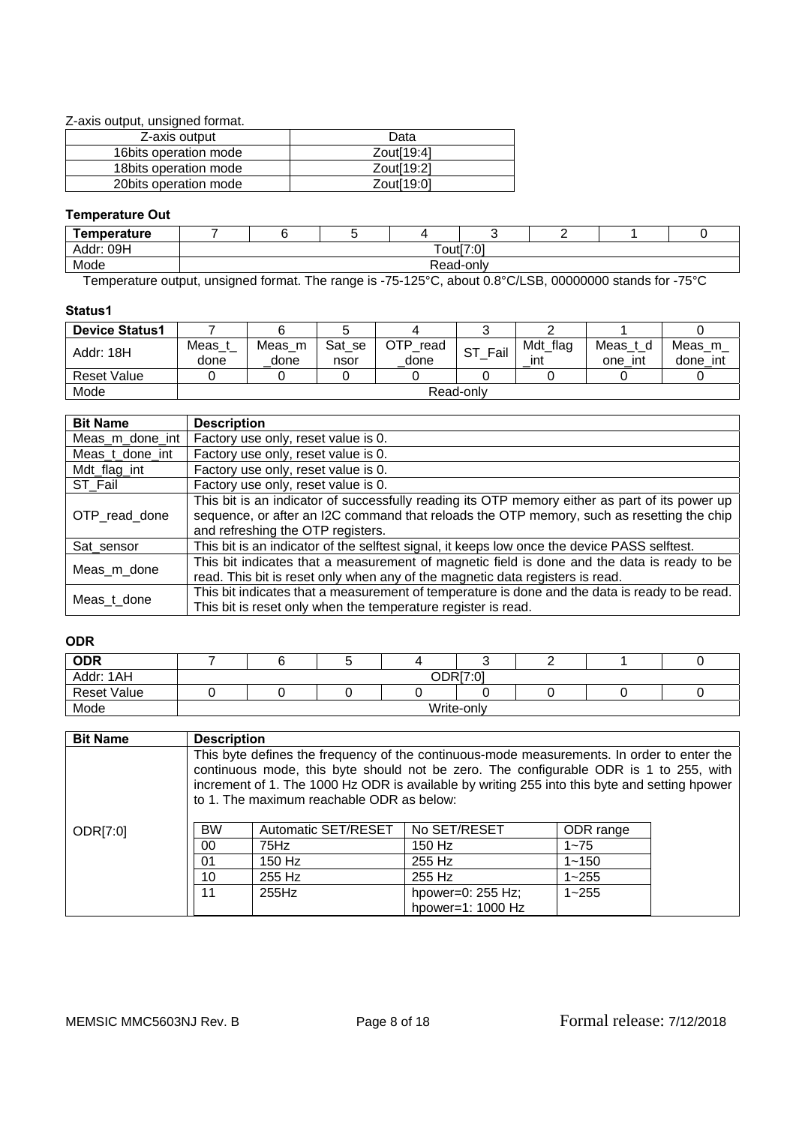Z-axis output, unsigned format.

| Z-axis output          | Data                   |
|------------------------|------------------------|
| 16 bits operation mode | Zout[19:4]             |
| 18 bits operation mode | Zout <sub>[19:2]</sub> |
| 20 bits operation mode | Zout <sub>[19:0]</sub> |

## **Temperature Out**

| Temperature              |               |  |         |  |                     |  |           |  |  |  |  |
|--------------------------|---------------|--|---------|--|---------------------|--|-----------|--|--|--|--|
| 09H<br>Addr:             | Tout[7:0]     |  |         |  |                     |  |           |  |  |  |  |
| Mode                     | Read-only     |  |         |  |                     |  |           |  |  |  |  |
| $\overline{\phantom{a}}$ | $\sim$<br>. . |  | $    -$ |  | $(0.222)$ $(0.222)$ |  | $- - - -$ |  |  |  |  |

Temperature output, unsigned format. The range is -75-125°C, about 0.8°C/LSB, 00000000 stands for -75°C

## **Status1**

| <b>Device Status1</b> |                |                |                |                     |            |                 |                     |                    |  |  |
|-----------------------|----------------|----------------|----------------|---------------------|------------|-----------------|---------------------|--------------------|--|--|
| Addr: 18H             | Meas_∟<br>done | Meas m<br>done | Sat se<br>nsor | OTP<br>read<br>done | SТ<br>Fail | Mdt_flag<br>ınt | Meas_t_d<br>one int | Meas m<br>done int |  |  |
| <b>Reset Value</b>    |                |                |                |                     |            |                 |                     |                    |  |  |
| Mode                  |                | Read-only      |                |                     |            |                 |                     |                    |  |  |

| <b>Bit Name</b> | <b>Description</b>                                                                                                                                                                          |
|-----------------|---------------------------------------------------------------------------------------------------------------------------------------------------------------------------------------------|
| Meas_m_done_int | Factory use only, reset value is 0.                                                                                                                                                         |
| Meas_t_done_int | Factory use only, reset value is 0.                                                                                                                                                         |
| Mdt_flag_int    | Factory use only, reset value is 0.                                                                                                                                                         |
| ST Fail         | Factory use only, reset value is 0.                                                                                                                                                         |
| OTP read done   | This bit is an indicator of successfully reading its OTP memory either as part of its power up<br>sequence, or after an I2C command that reloads the OTP memory, such as resetting the chip |
|                 | and refreshing the OTP registers.                                                                                                                                                           |
| Sat_sensor      | This bit is an indicator of the selftest signal, it keeps low once the device PASS selftest.                                                                                                |
| Meas_m_done     | This bit indicates that a measurement of magnetic field is done and the data is ready to be<br>read. This bit is reset only when any of the magnetic data registers is read.                |
|                 |                                                                                                                                                                                             |
| Meas_t_done     | This bit indicates that a measurement of temperature is done and the data is ready to be read.                                                                                              |
|                 | This bit is reset only when the temperature register is read.                                                                                                                               |

## **ODR**

| <b>ODR</b>         |            |  |  |  |  |  |  |  |  |  |
|--------------------|------------|--|--|--|--|--|--|--|--|--|
| Addr: 1AH          | ODR[7:0]   |  |  |  |  |  |  |  |  |  |
| <b>Reset Value</b> |            |  |  |  |  |  |  |  |  |  |
| Mode               | Write-only |  |  |  |  |  |  |  |  |  |

| <b>Bit Name</b>                                                    | <b>Description</b>                                                                                                                                                                                                                                                                                                                |          |              |           |  |  |  |  |  |
|--------------------------------------------------------------------|-----------------------------------------------------------------------------------------------------------------------------------------------------------------------------------------------------------------------------------------------------------------------------------------------------------------------------------|----------|--------------|-----------|--|--|--|--|--|
|                                                                    | This byte defines the frequency of the continuous-mode measurements. In order to enter the<br>continuous mode, this byte should not be zero. The configurable ODR is 1 to 255, with<br>increment of 1. The 1000 Hz ODR is available by writing 255 into this byte and setting hpower<br>to 1. The maximum reachable ODR as below: |          |              |           |  |  |  |  |  |
| ODR[7:0]                                                           | <b>BW</b><br>Automatic SET/RESET                                                                                                                                                                                                                                                                                                  |          | No SET/RESET | ODR range |  |  |  |  |  |
|                                                                    | 00                                                                                                                                                                                                                                                                                                                                | 75Hz     | 150 Hz       | $1 - 75$  |  |  |  |  |  |
|                                                                    | 01                                                                                                                                                                                                                                                                                                                                | $150$ Hz | 255 Hz       | $1 - 150$ |  |  |  |  |  |
|                                                                    | 10                                                                                                                                                                                                                                                                                                                                | 255 Hz   | 255 Hz       | $1 - 255$ |  |  |  |  |  |
| 11<br>255Hz<br>hpower=0: 255 Hz;<br>$1 - 255$<br>hpower=1: 1000 Hz |                                                                                                                                                                                                                                                                                                                                   |          |              |           |  |  |  |  |  |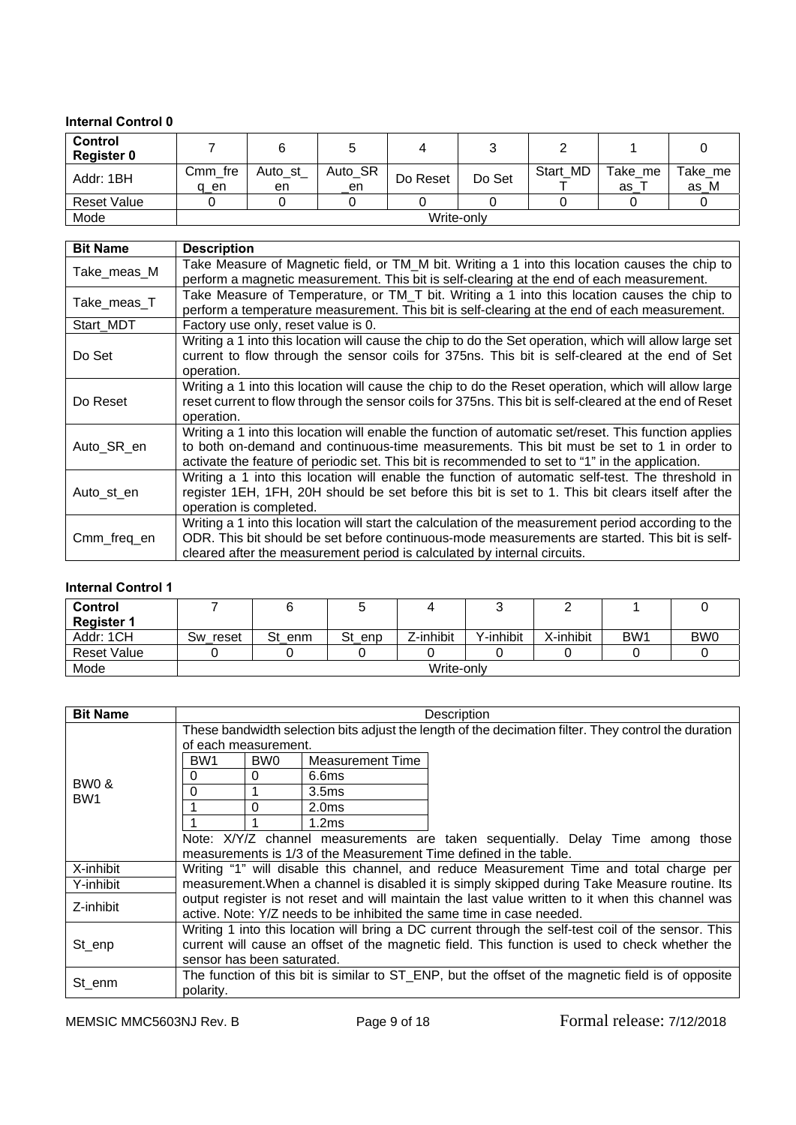## **Internal Control 0**

| <b>Control</b><br><b>Register 0</b> |                 |               |               |          |            |          |               |                 |
|-------------------------------------|-----------------|---------------|---------------|----------|------------|----------|---------------|-----------------|
| Addr: 1BH                           | Cmm fre<br>q en | Auto_st<br>en | Auto_SR<br>en | Do Reset | Do Set     | Start MD | Take me<br>as | Take_me<br>as M |
| Reset Value                         |                 |               |               |          |            |          |               |                 |
| Mode                                |                 |               |               |          | Write-only |          |               |                 |

| <b>Bit Name</b> | <b>Description</b>                                                                                                                                                                                                                                                                                    |
|-----------------|-------------------------------------------------------------------------------------------------------------------------------------------------------------------------------------------------------------------------------------------------------------------------------------------------------|
| Take_meas_M     | Take Measure of Magnetic field, or TM_M bit. Writing a 1 into this location causes the chip to<br>perform a magnetic measurement. This bit is self-clearing at the end of each measurement.                                                                                                           |
| Take_meas_T     | Take Measure of Temperature, or TM_T bit. Writing a 1 into this location causes the chip to<br>perform a temperature measurement. This bit is self-clearing at the end of each measurement.                                                                                                           |
| Start MDT       | Factory use only, reset value is 0.                                                                                                                                                                                                                                                                   |
| Do Set          | Writing a 1 into this location will cause the chip to do the Set operation, which will allow large set<br>current to flow through the sensor coils for 375ns. This bit is self-cleared at the end of Set<br>operation.                                                                                |
| Do Reset        | Writing a 1 into this location will cause the chip to do the Reset operation, which will allow large<br>reset current to flow through the sensor coils for 375ns. This bit is self-cleared at the end of Reset<br>operation.                                                                          |
| Auto_SR_en      | Writing a 1 into this location will enable the function of automatic set/reset. This function applies<br>to both on-demand and continuous-time measurements. This bit must be set to 1 in order to<br>activate the feature of periodic set. This bit is recommended to set to "1" in the application. |
| Auto_st_en      | Writing a 1 into this location will enable the function of automatic self-test. The threshold in<br>register 1EH, 1FH, 20H should be set before this bit is set to 1. This bit clears itself after the<br>operation is completed.                                                                     |
| Cmm_freq_en     | Writing a 1 into this location will start the calculation of the measurement period according to the<br>ODR. This bit should be set before continuous-mode measurements are started. This bit is self-<br>cleared after the measurement period is calculated by internal circuits.                    |

## **Internal Control 1**

| Control            |          |        |        |            |           |           |                 |                 |
|--------------------|----------|--------|--------|------------|-----------|-----------|-----------------|-----------------|
| <b>Register 1</b>  |          |        |        |            |           |           |                 |                 |
| Addr: 1CH          | Sw reset | St enm | St enp | Z-inhibit  | Y-inhibit | X-inhibit | BW <sub>1</sub> | BW <sub>0</sub> |
| <b>Reset Value</b> |          |        |        |            |           |           |                 |                 |
| Mode               |          |        |        | Write-only |           |           |                 |                 |

| <b>Bit Name</b> |                                                                                                     |          |                   | Description                                                                                          |  |  |  |
|-----------------|-----------------------------------------------------------------------------------------------------|----------|-------------------|------------------------------------------------------------------------------------------------------|--|--|--|
|                 | of each measurement.                                                                                |          |                   | These bandwidth selection bits adjust the length of the decimation filter. They control the duration |  |  |  |
|                 | BW <sub>1</sub>                                                                                     | BW0      | Measurement Time  |                                                                                                      |  |  |  |
| BW0 &           | 0                                                                                                   | $\Omega$ | 6.6ms             |                                                                                                      |  |  |  |
| BW <sub>1</sub> | 0                                                                                                   |          | 3.5 <sub>ms</sub> |                                                                                                      |  |  |  |
|                 |                                                                                                     | 0        | 2.0 <sub>ms</sub> |                                                                                                      |  |  |  |
|                 |                                                                                                     |          | 1.2ms             |                                                                                                      |  |  |  |
|                 | Note: X/Y/Z channel measurements are taken sequentially. Delay Time among those                     |          |                   |                                                                                                      |  |  |  |
|                 | measurements is 1/3 of the Measurement Time defined in the table.                                   |          |                   |                                                                                                      |  |  |  |
| X-inhibit       |                                                                                                     |          |                   | Writing "1" will disable this channel, and reduce Measurement Time and total charge per              |  |  |  |
| Y-inhibit       |                                                                                                     |          |                   | measurement. When a channel is disabled it is simply skipped during Take Measure routine. Its        |  |  |  |
| Z-inhibit       | output register is not reset and will maintain the last value written to it when this channel was   |          |                   |                                                                                                      |  |  |  |
|                 |                                                                                                     |          |                   | active. Note: Y/Z needs to be inhibited the same time in case needed.                                |  |  |  |
|                 | Writing 1 into this location will bring a DC current through the self-test coil of the sensor. This |          |                   |                                                                                                      |  |  |  |
| St_enp          |                                                                                                     |          |                   | current will cause an offset of the magnetic field. This function is used to check whether the       |  |  |  |
|                 | sensor has been saturated.                                                                          |          |                   |                                                                                                      |  |  |  |
| St_enm          |                                                                                                     |          |                   | The function of this bit is similar to ST_ENP, but the offset of the magnetic field is of opposite   |  |  |  |
|                 | polarity.                                                                                           |          |                   |                                                                                                      |  |  |  |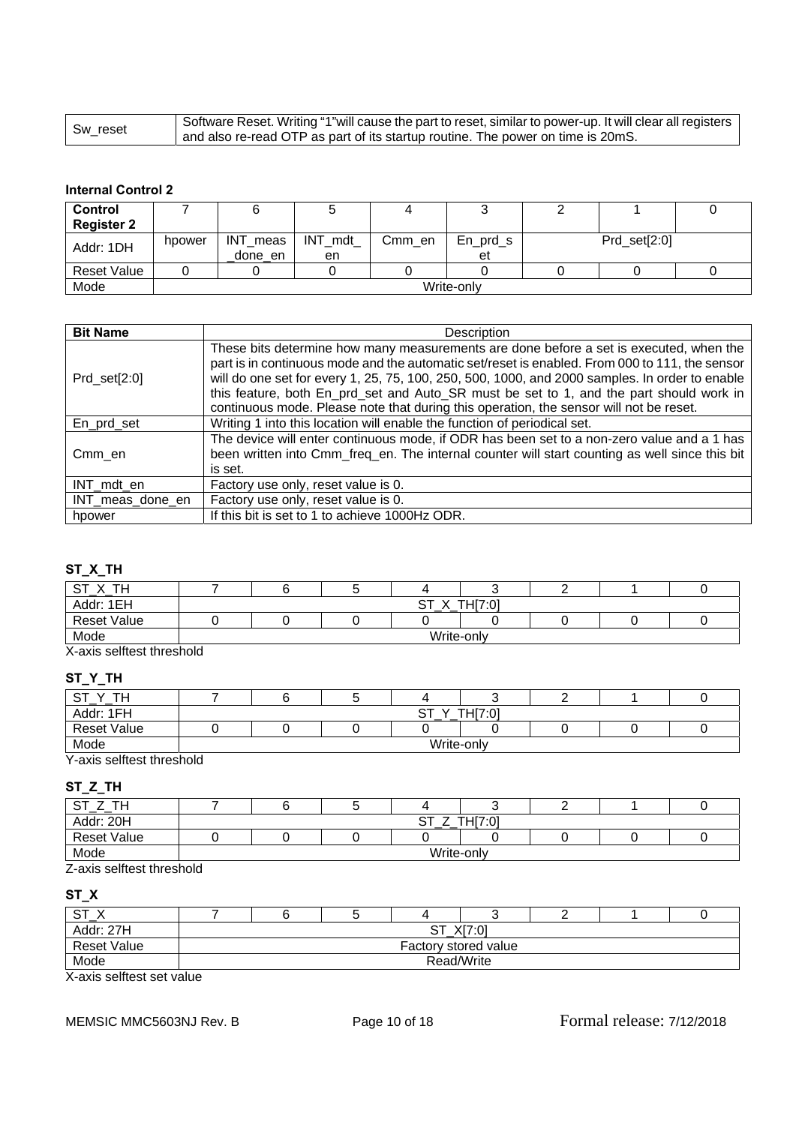| l Sw_reset | Software Reset. Writing "1"will cause the part to reset, similar to power-up. It will clear all registers |
|------------|-----------------------------------------------------------------------------------------------------------|
|            | I and also re-read OTP as part of its startup routine. The power on time is 20mS.                         |

## **Internal Control 2**

| Control            |        |            |         |        |            |  |              |  |  |  |
|--------------------|--------|------------|---------|--------|------------|--|--------------|--|--|--|
| <b>Register 2</b>  |        |            |         |        |            |  |              |  |  |  |
| Addr: 1DH          | hpower | INT_meas   | INT mdt | Cmm en | $En_prd_s$ |  | Prd_set[2:0] |  |  |  |
|                    |        | done en    | en      |        | et         |  |              |  |  |  |
| <b>Reset Value</b> |        |            |         |        |            |  |              |  |  |  |
| Mode               |        | Write-only |         |        |            |  |              |  |  |  |

| <b>Bit Name</b>  | Description                                                                                                                                                                                                                                                                                                                                                                                                                                                                     |
|------------------|---------------------------------------------------------------------------------------------------------------------------------------------------------------------------------------------------------------------------------------------------------------------------------------------------------------------------------------------------------------------------------------------------------------------------------------------------------------------------------|
| $Prd\_set[2:0]$  | These bits determine how many measurements are done before a set is executed, when the<br>part is in continuous mode and the automatic set/reset is enabled. From 000 to 111, the sensor<br>will do one set for every 1, 25, 75, 100, 250, 500, 1000, and 2000 samples. In order to enable<br>this feature, both En_prd_set and Auto_SR must be set to 1, and the part should work in<br>continuous mode. Please note that during this operation, the sensor will not be reset. |
| En_prd_set       | Writing 1 into this location will enable the function of periodical set.                                                                                                                                                                                                                                                                                                                                                                                                        |
| Cmm en           | The device will enter continuous mode, if ODR has been set to a non-zero value and a 1 has<br>been written into Cmm_freq_en. The internal counter will start counting as well since this bit<br>is set.                                                                                                                                                                                                                                                                         |
| INT mdt en       | Factory use only, reset value is 0.                                                                                                                                                                                                                                                                                                                                                                                                                                             |
| INT_meas_done_en | Factory use only, reset value is 0.                                                                                                                                                                                                                                                                                                                                                                                                                                             |
| hpower           | If this bit is set to 1 to achieve 1000Hz ODR.                                                                                                                                                                                                                                                                                                                                                                                                                                  |

# **ST\_X\_TH**

| _ _                                                   |              |  |  |  |  |  |  |
|-------------------------------------------------------|--------------|--|--|--|--|--|--|
| TН<br>$^{\sim}$<br>丷<br>ັ<br>$\overline{\phantom{a}}$ |              |  |  |  |  |  |  |
| Addr: 1EH                                             | TH[7:0]<br>ັ |  |  |  |  |  |  |
| <b>Reset Value</b>                                    |              |  |  |  |  |  |  |
| Mode                                                  | Write-only   |  |  |  |  |  |  |

X-axis selftest threshold

# **ST\_Y\_TH**

| $\sim$ $\tau$<br>TL.<br>ٮ |  |                      |                            |  |  |
|---------------------------|--|----------------------|----------------------------|--|--|
| Addr: 1FH                 |  | ~-<br>$\lambda$<br>ັ | TLI 7.01<br>I FII 4<br>ּש. |  |  |
| <b>Reset Value</b>        |  |                      |                            |  |  |
| Mode                      |  | Write-only           |                            |  |  |

Y-axis selftest threshold

# **ST\_Z\_TH**

| $^{\sim}$<br>TH.   |                     |  |  |  |  |  |  |
|--------------------|---------------------|--|--|--|--|--|--|
| Addr: 20H          | TH[7:0]<br>ັບເ<br>- |  |  |  |  |  |  |
| <b>Reset Value</b> |                     |  |  |  |  |  |  |
| Mode               | Write-only          |  |  |  |  |  |  |

Z-axis selftest threshold

# **ST\_X**

| ~~<br>، د -        |                                                                |  |            |  |  |  |  |  |  |
|--------------------|----------------------------------------------------------------|--|------------|--|--|--|--|--|--|
| Addr: 27H          | $V17 \cap 1$<br>$\sim$ $\tau$<br>יש.<br>$\bigwedge I$<br>. ا پ |  |            |  |  |  |  |  |  |
| <b>Reset Value</b> | Factory stored value                                           |  |            |  |  |  |  |  |  |
| Mode               |                                                                |  | Read/Write |  |  |  |  |  |  |

X-axis selftest set value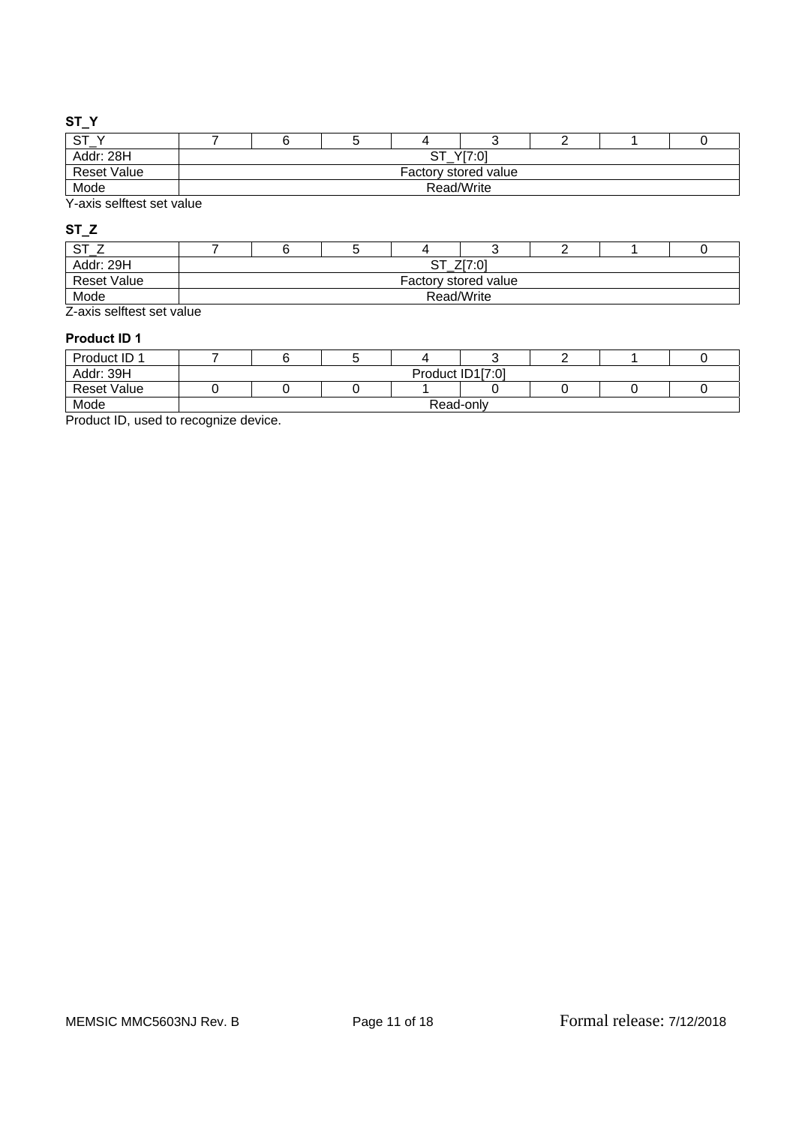## **ST\_Y**

| <b>OT</b><br>৩।    |                         |  |  |  |  |  |  |  |
|--------------------|-------------------------|--|--|--|--|--|--|--|
| Addr: 28H          | Y[7:0]<br>$\sim$ $\sim$ |  |  |  |  |  |  |  |
| <b>Reset Value</b> | Factory stored value    |  |  |  |  |  |  |  |
| Mode               | Read/Write              |  |  |  |  |  |  |  |

Y-axis selftest set value

# **ST\_Z**

| Addr: 29H                                                                                                                                                                                                                      | Z[7:0]<br>痴<br>ີ     |  |  |  |  |  |  |  |  |
|--------------------------------------------------------------------------------------------------------------------------------------------------------------------------------------------------------------------------------|----------------------|--|--|--|--|--|--|--|--|
| <b>Reset Value</b>                                                                                                                                                                                                             | Factory stored value |  |  |  |  |  |  |  |  |
| Mode                                                                                                                                                                                                                           | Read/Write           |  |  |  |  |  |  |  |  |
| The contract we obtain a contract of the contract of the contract of the contract of the contract of the contract of the contract of the contract of the contract of the contract of the contract of the contract of the contr |                      |  |  |  |  |  |  |  |  |

Z-axis selftest set value

## **Product ID 1**

| Product ID 1       |                  |  |  |  |  |  |  |  |  |
|--------------------|------------------|--|--|--|--|--|--|--|--|
| Addr: 39H          | Product ID1[7:0] |  |  |  |  |  |  |  |  |
| <b>Reset Value</b> |                  |  |  |  |  |  |  |  |  |
| Mode               | Read-only        |  |  |  |  |  |  |  |  |

Product ID, used to recognize device.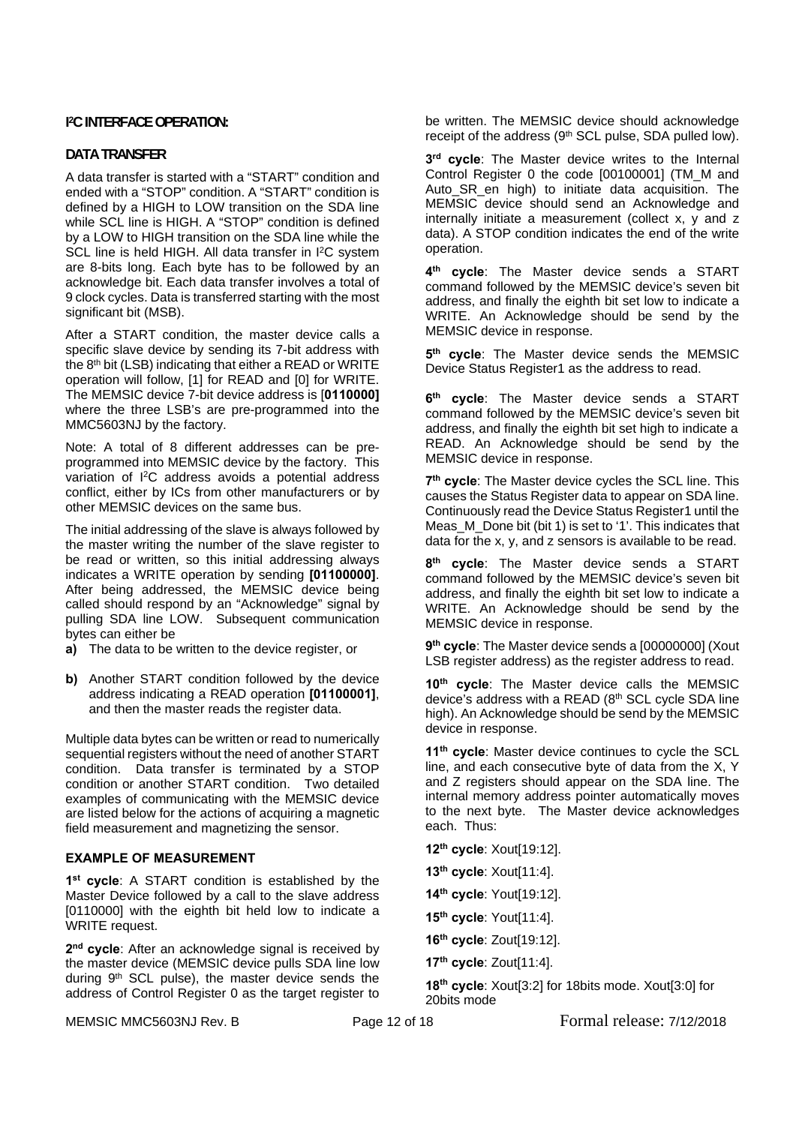## **I 2C INTERFACE OPERATION:**

## **DATA TRANSFER**

A data transfer is started with a "START" condition and ended with a "STOP" condition. A "START" condition is defined by a HIGH to LOW transition on the SDA line while SCL line is HIGH. A "STOP" condition is defined by a LOW to HIGH transition on the SDA line while the SCL line is held HIGH. All data transfer in I<sup>2</sup>C system are 8-bits long. Each byte has to be followed by an acknowledge bit. Each data transfer involves a total of 9 clock cycles. Data is transferred starting with the most significant bit (MSB).

After a START condition, the master device calls a specific slave device by sending its 7-bit address with the 8<sup>th</sup> bit (LSB) indicating that either a READ or WRITE operation will follow, [1] for READ and [0] for WRITE. The MEMSIC device 7-bit device address is [**0110000]** where the three LSB's are pre-programmed into the MMC5603NJ by the factory.

Note: A total of 8 different addresses can be preprogrammed into MEMSIC device by the factory. This variation of I2C address avoids a potential address conflict, either by ICs from other manufacturers or by other MEMSIC devices on the same bus.

The initial addressing of the slave is always followed by the master writing the number of the slave register to be read or written, so this initial addressing always indicates a WRITE operation by sending **[01100000]**. After being addressed, the MEMSIC device being called should respond by an "Acknowledge" signal by pulling SDA line LOW. Subsequent communication bytes can either be

- **a)** The data to be written to the device register, or
- **b)** Another START condition followed by the device address indicating a READ operation **[01100001]**, and then the master reads the register data.

Multiple data bytes can be written or read to numerically sequential registers without the need of another START condition. Data transfer is terminated by a STOP condition or another START condition. Two detailed examples of communicating with the MEMSIC device are listed below for the actions of acquiring a magnetic field measurement and magnetizing the sensor.

#### **EXAMPLE OF MEASUREMENT**

**1st cycle**: A START condition is established by the Master Device followed by a call to the slave address [0110000] with the eighth bit held low to indicate a WRITE request.

2<sup>nd</sup> cycle: After an acknowledge signal is received by the master device (MEMSIC device pulls SDA line low during 9th SCL pulse), the master device sends the address of Control Register 0 as the target register to be written. The MEMSIC device should acknowledge receipt of the address (9th SCL pulse, SDA pulled low).

**3rd cycle**: The Master device writes to the Internal Control Register 0 the code [00100001] (TM\_M and Auto\_SR\_en high) to initiate data acquisition. The MEMSIC device should send an Acknowledge and internally initiate a measurement (collect x, y and z data). A STOP condition indicates the end of the write operation.

**4th cycle**: The Master device sends a START command followed by the MEMSIC device's seven bit address, and finally the eighth bit set low to indicate a WRITE. An Acknowledge should be send by the MEMSIC device in response.

**5th cycle**: The Master device sends the MEMSIC Device Status Register1 as the address to read.

**6th cycle**: The Master device sends a START command followed by the MEMSIC device's seven bit address, and finally the eighth bit set high to indicate a READ. An Acknowledge should be send by the MEMSIC device in response.

**7th cycle**: The Master device cycles the SCL line. This causes the Status Register data to appear on SDA line. Continuously read the Device Status Register1 until the Meas\_M\_Done bit (bit 1) is set to '1'. This indicates that data for the x, y, and z sensors is available to be read.

**8th cycle**: The Master device sends a START command followed by the MEMSIC device's seven bit address, and finally the eighth bit set low to indicate a WRITE. An Acknowledge should be send by the MEMSIC device in response.

9<sup>th</sup> cycle: The Master device sends a [00000000] (Xout LSB register address) as the register address to read.

**10th cycle**: The Master device calls the MEMSIC device's address with a READ (8th SCL cycle SDA line high). An Acknowledge should be send by the MEMSIC device in response.

11<sup>th</sup> cycle: Master device continues to cycle the SCL line, and each consecutive byte of data from the X, Y and Z registers should appear on the SDA line. The internal memory address pointer automatically moves to the next byte. The Master device acknowledges each. Thus:

**12th cycle**: Xout[19:12].

**13th cycle**: Xout[11:4].

**14th cycle**: Yout[19:12].

**15th cycle**: Yout[11:4].

**16th cycle**: Zout[19:12].

**17th cycle**: Zout[11:4].

**18th cycle**: Xout[3:2] for 18bits mode. Xout[3:0] for 20bits mode

MEMSIC MMC5603NJ Rev. B Page 12 of 18 Formal release: 7/12/2018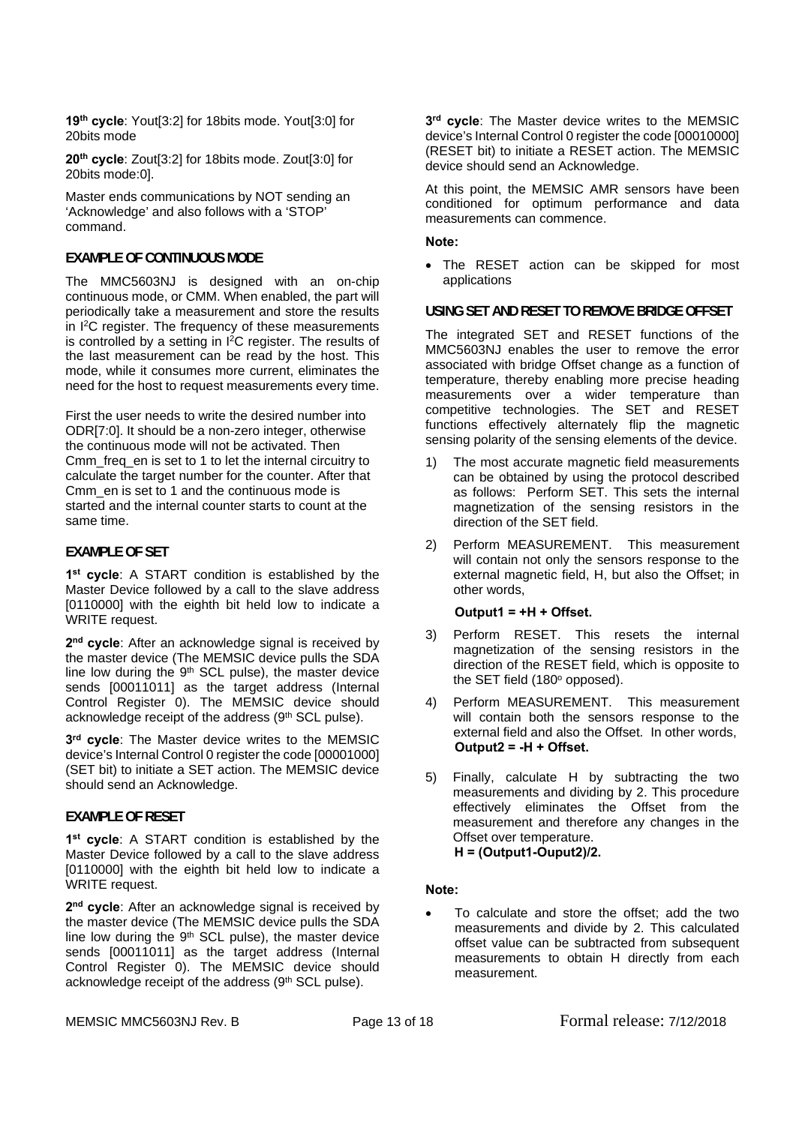**19th cycle**: Yout[3:2] for 18bits mode. Yout[3:0] for 20bits mode

**20th cycle**: Zout[3:2] for 18bits mode. Zout[3:0] for 20bits mode:0].

Master ends communications by NOT sending an 'Acknowledge' and also follows with a 'STOP' command.

## **EXAMPLE OF CONTINUOUS MODE**

The MMC5603NJ is designed with an on-chip continuous mode, or CMM. When enabled, the part will periodically take a measurement and store the results in I2C register. The frequency of these measurements is controlled by a setting in I2C register. The results of the last measurement can be read by the host. This mode, while it consumes more current, eliminates the need for the host to request measurements every time.

First the user needs to write the desired number into ODR[7:0]. It should be a non-zero integer, otherwise the continuous mode will not be activated. Then Cmm\_freq\_en is set to 1 to let the internal circuitry to calculate the target number for the counter. After that Cmm\_en is set to 1 and the continuous mode is started and the internal counter starts to count at the same time.

## **EXAMPLE OF SET**

**1st cycle**: A START condition is established by the Master Device followed by a call to the slave address [0110000] with the eighth bit held low to indicate a WRITE request.

**2nd cycle**: After an acknowledge signal is received by the master device (The MEMSIC device pulls the SDA line low during the 9<sup>th</sup> SCL pulse), the master device sends [00011011] as the target address (Internal Control Register 0). The MEMSIC device should acknowledge receipt of the address (9th SCL pulse).

**3rd cycle**: The Master device writes to the MEMSIC device's Internal Control 0 register the code [00001000] (SET bit) to initiate a SET action. The MEMSIC device should send an Acknowledge.

#### **EXAMPLE OF RESET**

**1st cycle**: A START condition is established by the Master Device followed by a call to the slave address [0110000] with the eighth bit held low to indicate a WRITE request.

2<sup>nd</sup> cycle: After an acknowledge signal is received by the master device (The MEMSIC device pulls the SDA line low during the  $9<sup>th</sup>$  SCL pulse), the master device sends [00011011] as the target address (Internal Control Register 0). The MEMSIC device should acknowledge receipt of the address (9th SCL pulse).

**3rd cycle**: The Master device writes to the MEMSIC device's Internal Control 0 register the code [00010000] (RESET bit) to initiate a RESET action. The MEMSIC device should send an Acknowledge.

At this point, the MEMSIC AMR sensors have been conditioned for optimum performance and data measurements can commence.

**Note:** 

 The RESET action can be skipped for most applications

**USING SET AND RESET TO REMOVE BRIDGE OFFSET** 

The integrated SET and RESET functions of the MMC5603NJ enables the user to remove the error associated with bridge Offset change as a function of temperature, thereby enabling more precise heading measurements over a wider temperature than competitive technologies. The SET and RESET functions effectively alternately flip the magnetic sensing polarity of the sensing elements of the device.

- 1) The most accurate magnetic field measurements can be obtained by using the protocol described as follows: Perform SET. This sets the internal magnetization of the sensing resistors in the direction of the SET field.
- 2) Perform MEASUREMENT. This measurement will contain not only the sensors response to the external magnetic field, H, but also the Offset; in other words,

#### **Output1 = +H + Offset.**

- 3) Perform RESET. This resets the internal magnetization of the sensing resistors in the direction of the RESET field, which is opposite to the SET field (180° opposed).
- 4) Perform MEASUREMENT. This measurement will contain both the sensors response to the external field and also the Offset. In other words, **Output2 = -H + Offset.**
- 5) Finally, calculate H by subtracting the two measurements and dividing by 2. This procedure effectively eliminates the Offset from the measurement and therefore any changes in the Offset over temperature.  **H = (Output1-Ouput2)/2.**

#### **Note:**

 To calculate and store the offset; add the two measurements and divide by 2. This calculated offset value can be subtracted from subsequent measurements to obtain H directly from each measurement.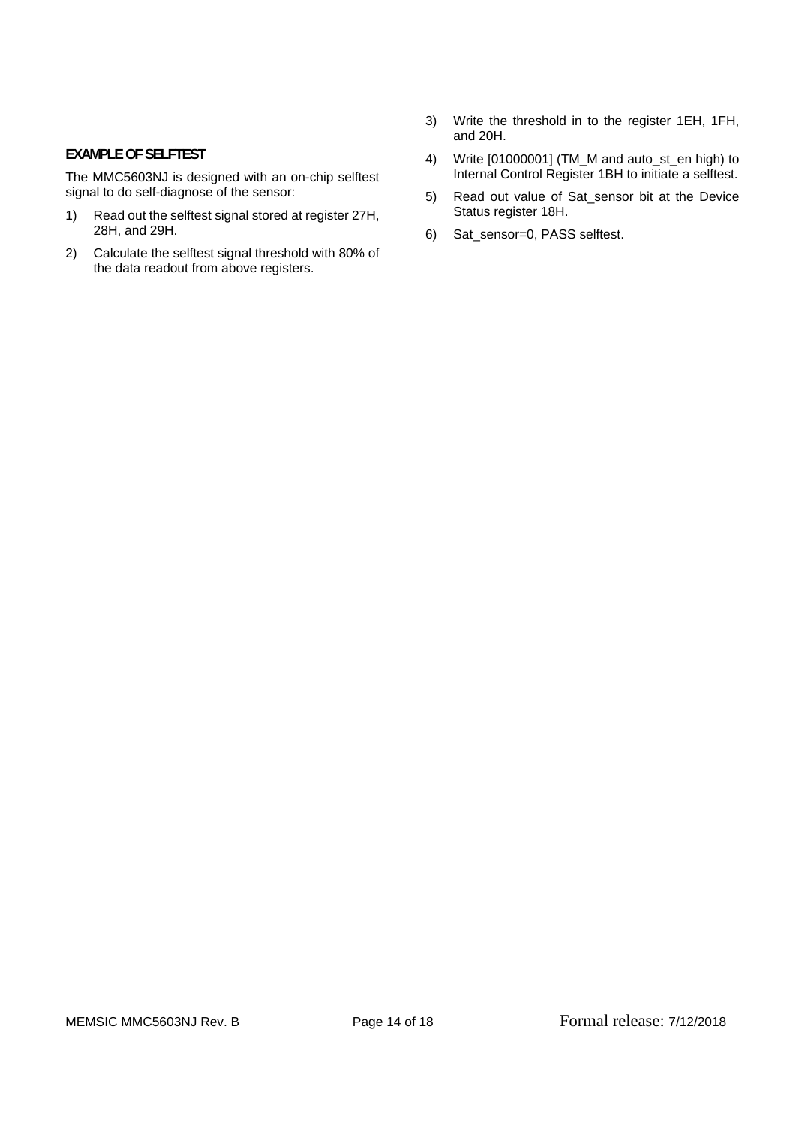## **EXAMPLE OF SELFTEST**

The MMC5603NJ is designed with an on-chip selftest signal to do self-diagnose of the sensor:

- 1) Read out the selftest signal stored at register 27H, 28H, and 29H.
- 2) Calculate the selftest signal threshold with 80% of the data readout from above registers.
- 3) Write the threshold in to the register 1EH, 1FH, and 20H.
- 4) Write [01000001] (TM\_M and auto\_st\_en high) to Internal Control Register 1BH to initiate a selftest.
- 5) Read out value of Sat\_sensor bit at the Device Status register 18H.
- 6) Sat\_sensor=0, PASS selftest.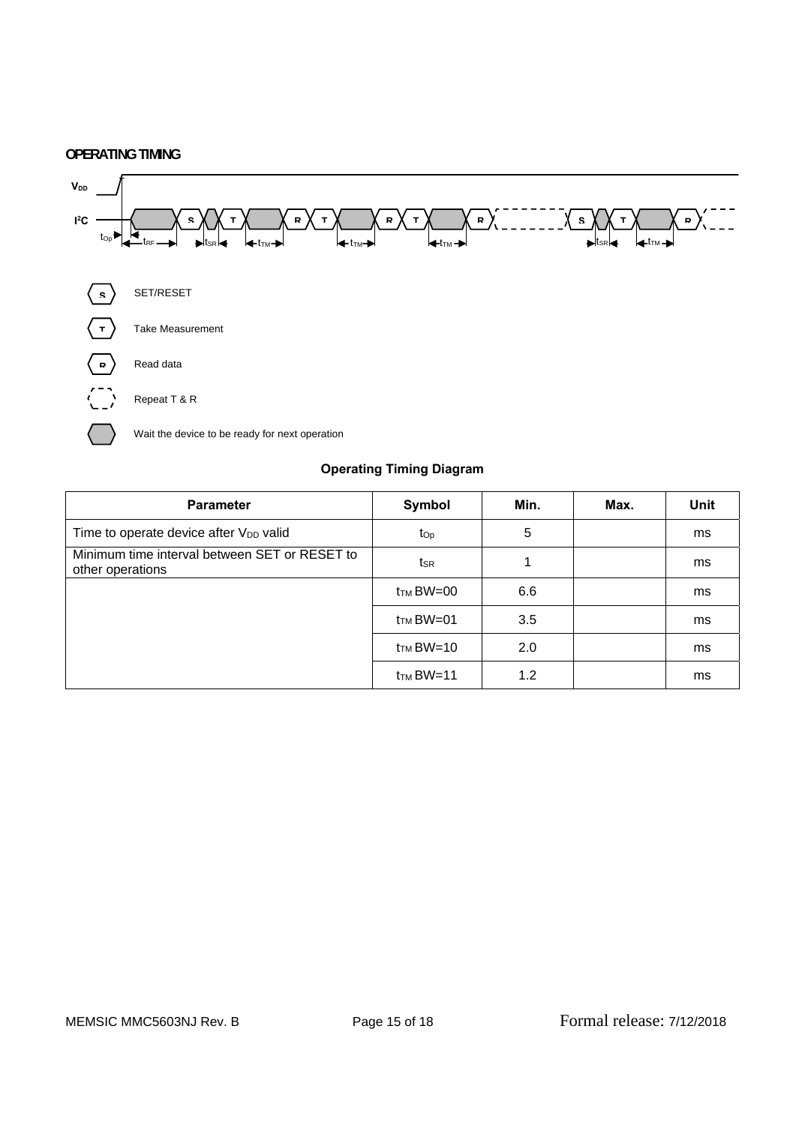## **OPERATING TIMING**



## **Operating Timing Diagram**

| <b>Parameter</b>                                                  | Symbol                | Min. | Max. | <b>Unit</b> |
|-------------------------------------------------------------------|-----------------------|------|------|-------------|
| Time to operate device after $V_{DD}$ valid                       | $t_{\rm Op}$          | 5    |      | ms          |
| Minimum time interval between SET or RESET to<br>other operations | tsr                   |      |      | ms          |
|                                                                   | $t_{\text{TM}}$ BW=00 | 6.6  |      | ms          |
|                                                                   | $t_{\text{TM}}$ BW=01 | 3.5  |      | ms          |
|                                                                   | $t_{\text{TM}}$ BW=10 | 2.0  |      | ms          |
|                                                                   | $t_{TM}$ BW=11        | 1.2  |      | ms          |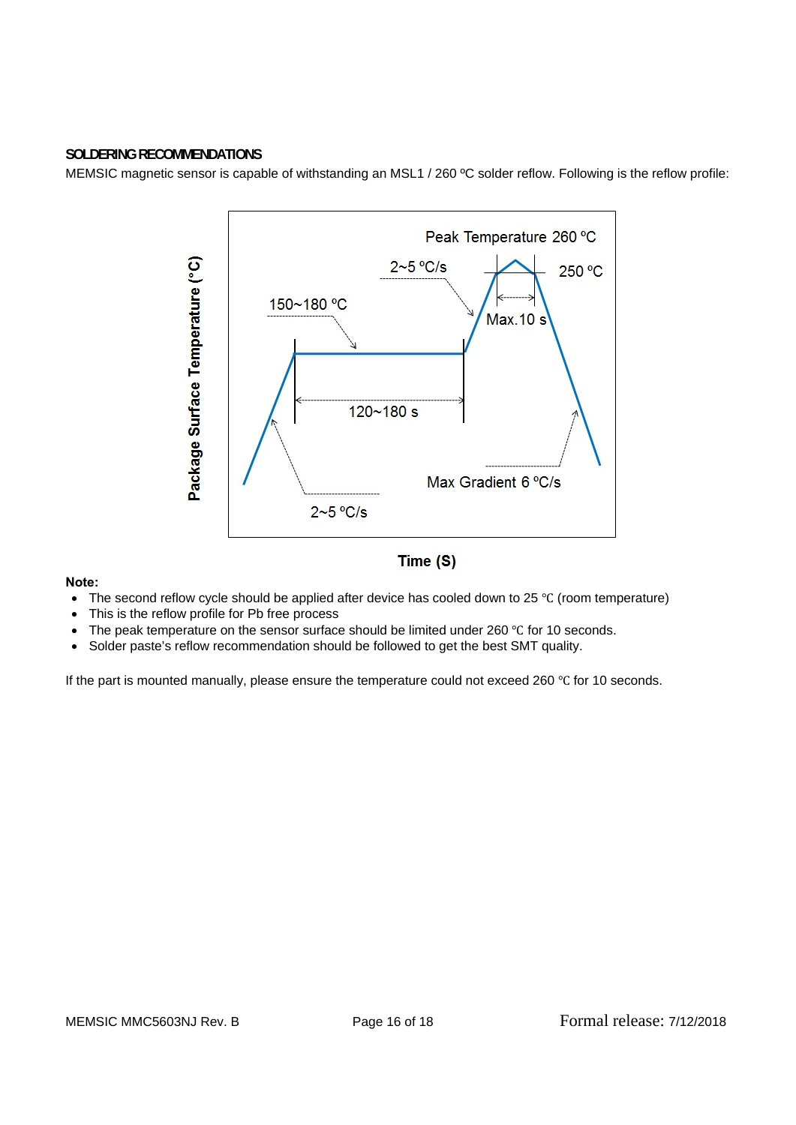

## **SOLDERING RECOMMENDATIONS**

MEMSIC magnetic sensor is capable of withstanding an MSL1 / 260 ºC solder reflow. Following is the reflow profile:

## **Note:**

- The second reflow cycle should be applied after device has cooled down to 25  $\degree$ C (room temperature)
- This is the reflow profile for Pb free process
- $\bullet$  The peak temperature on the sensor surface should be limited under 260 °C for 10 seconds.
- Solder paste's reflow recommendation should be followed to get the best SMT quality.

If the part is mounted manually, please ensure the temperature could not exceed 260 °C for 10 seconds.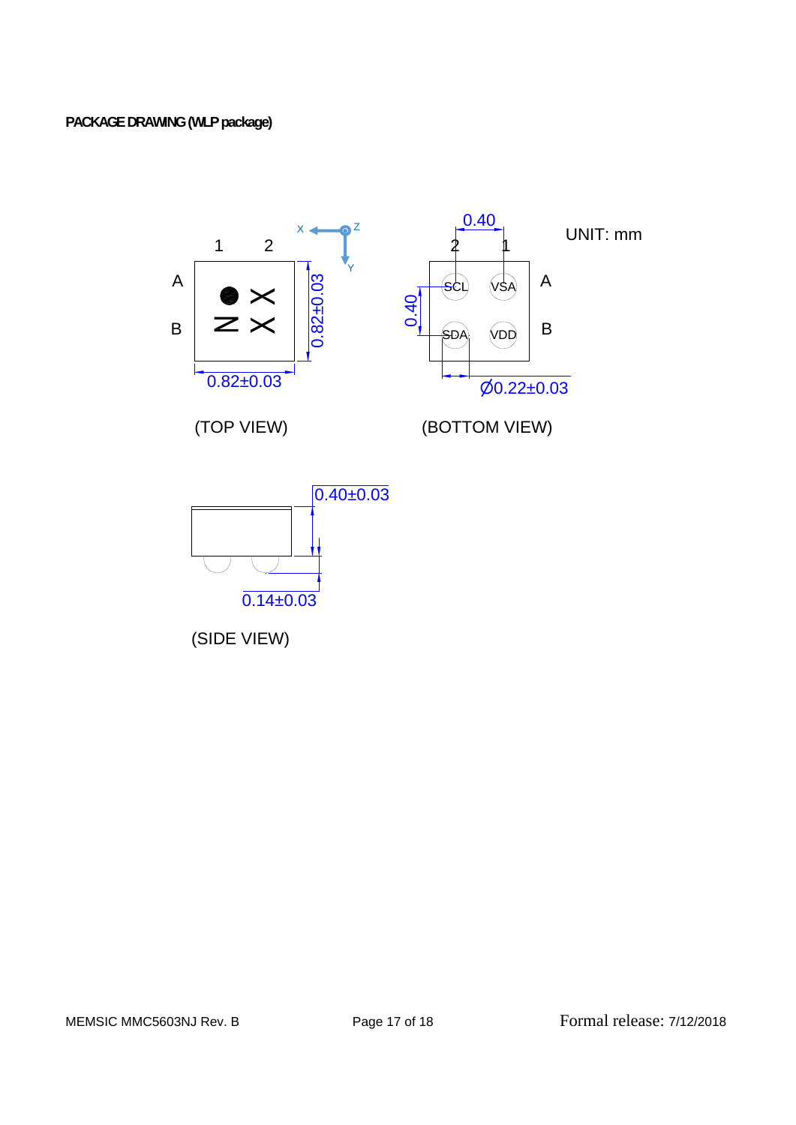# **PACKAGE DRAWING (WLP package)**



(SIDE VIEW)